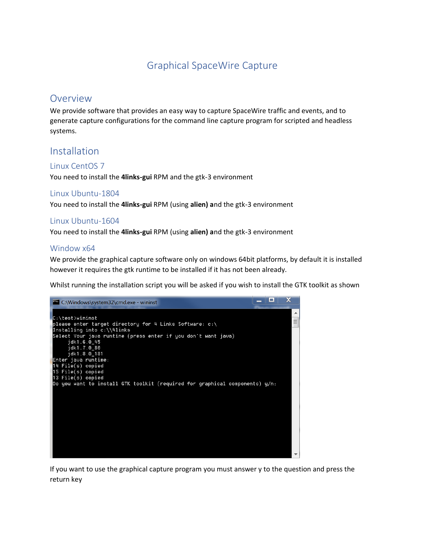## Graphical SpaceWire Capture

## **Overview**

We provide software that provides an easy way to capture SpaceWire traffic and events, and to generate capture configurations for the command line capture program for scripted and headless systems.

## Installation

## Linux CentOS 7

You need to install the **4links-gui** RPM and the gtk-3 environment

## Linux Ubuntu-1804

You need to install the **4links-gui** RPM (using **alien) a**nd the gtk-3 environment

## Linux Ubuntu-1604

You need to install the **4links-gui** RPM (using **alien) a**nd the gtk-3 environment

### Window x64

We provide the graphical capture software only on windows 64bit platforms, by default it is installed however it requires the gtk runtime to be installed if it has not been already.

Whilst running the installation script you will be asked if you wish to install the GTK toolkit as shown



If you want to use the graphical capture program you must answer y to the question and press the return key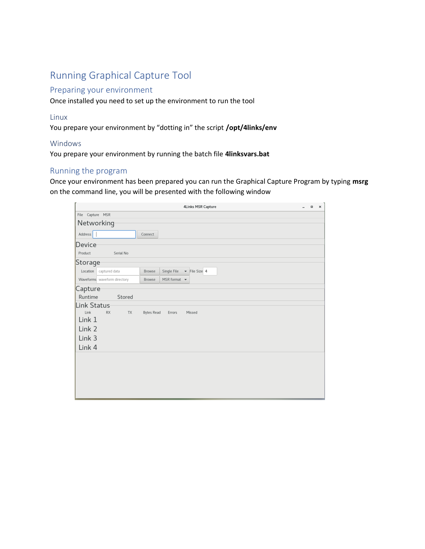# Running Graphical Capture Tool

## Preparing your environment

Once installed you need to set up the environment to run the tool

#### Linux

You prepare your environment by "dotting in" the script **/opt/4links/env**

#### Windows

You prepare your environment by running the batch file **4linksvars.bat**

## Running the program

Once your environment has been prepared you can run the Graphical Capture Program by typing **msrg** on the command line, you will be presented with the following window

|                                   | 4Links MSR Capture                                         | $\Box$ | $\times$ |
|-----------------------------------|------------------------------------------------------------|--------|----------|
| File Capture MSR                  |                                                            |        |          |
| Networking                        |                                                            |        |          |
| Address                           | Connect                                                    |        |          |
| Device                            |                                                            |        |          |
| Product<br>Serial No              |                                                            |        |          |
| Storage                           |                                                            |        |          |
| Location<br>captured data         | $\blacktriangleright$ File Size 4<br>Single File<br>Browse |        |          |
| Waveforms waveform directory      | MSR format $\bullet$<br>Browse                             |        |          |
| Capture<br>Runtime<br>Stored      |                                                            |        |          |
| Link Status                       |                                                            |        |          |
| Link<br><b>RX</b><br>TX<br>Link 1 | <b>Bytes Read</b><br>Errors<br>Missed                      |        |          |
| Link 2                            |                                                            |        |          |
| Link 3                            |                                                            |        |          |
|                                   |                                                            |        |          |
| Link 4                            |                                                            |        |          |
|                                   |                                                            |        |          |
|                                   |                                                            |        |          |
|                                   |                                                            |        |          |
|                                   |                                                            |        |          |
|                                   |                                                            |        |          |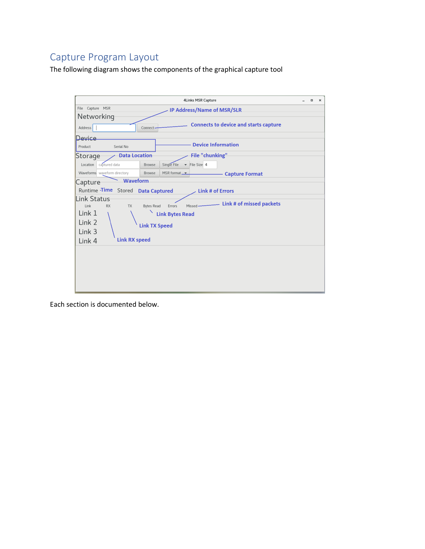# Capture Program Layout

The following diagram shows the components of the graphical capture tool

|                                   |                      |                                         | <b>4Links MSR Capture</b> |                                              | $\Box$ | $\times$ |
|-----------------------------------|----------------------|-----------------------------------------|---------------------------|----------------------------------------------|--------|----------|
| File Capture MSR                  |                      |                                         |                           | <b>IP Address/Name of MSR/SLR</b>            |        |          |
| Networking                        |                      |                                         |                           |                                              |        |          |
| Address                           | Connect-             |                                         |                           | <b>Connects to device and starts capture</b> |        |          |
| Device                            |                      |                                         |                           |                                              |        |          |
| Product<br>Serial No              |                      |                                         | <b>Device Information</b> |                                              |        |          |
| <b>Data Location</b><br>Storage   |                      |                                         | File "chunking"           |                                              |        |          |
| Location<br>captured data         | <b>Browse</b>        | Single File<br>$\overline{\phantom{a}}$ | File Size 4               |                                              |        |          |
| Waveforms waveform directory      | Browse               | MSR format $\rightarrow$                |                           | <b>Capture Format</b>                        |        |          |
| Waveform<br>Capture               |                      |                                         |                           |                                              |        |          |
| Runtime Time Stored Data Captured |                      |                                         | <b>Link # of Errors</b>   |                                              |        |          |
| Link Status                       |                      |                                         |                           | Link # of missed packets                     |        |          |
| Link<br><b>RX</b><br><b>TX</b>    | <b>Bytes Read</b>    | Errors                                  | Missed                    |                                              |        |          |
| Link 1                            |                      | <b>Link Bytes Read</b>                  |                           |                                              |        |          |
| Link 2                            | <b>Link TX Speed</b> |                                         |                           |                                              |        |          |
| Link 3                            |                      |                                         |                           |                                              |        |          |
| <b>Link RX speed</b><br>Link 4    |                      |                                         |                           |                                              |        |          |
|                                   |                      |                                         |                           |                                              |        |          |
|                                   |                      |                                         |                           |                                              |        |          |
|                                   |                      |                                         |                           |                                              |        |          |
|                                   |                      |                                         |                           |                                              |        |          |
|                                   |                      |                                         |                           |                                              |        |          |
|                                   |                      |                                         |                           |                                              |        |          |

Each section is documented below.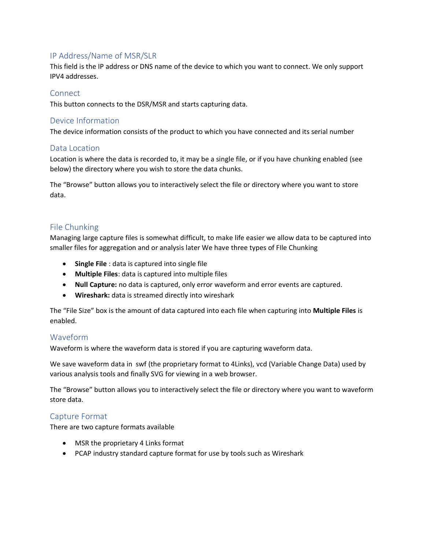## IP Address/Name of MSR/SLR

This field is the IP address or DNS name of the device to which you want to connect. We only support IPV4 addresses.

### **Connect**

This button connects to the DSR/MSR and starts capturing data.

## Device Information

The device information consists of the product to which you have connected and its serial number

### Data Location

Location is where the data is recorded to, it may be a single file, or if you have chunking enabled (see below) the directory where you wish to store the data chunks.

The "Browse" button allows you to interactively select the file or directory where you want to store data.

## File Chunking

Managing large capture files is somewhat difficult, to make life easier we allow data to be captured into smaller files for aggregation and or analysis later We have three types of FIle Chunking

- **Single File** : data is captured into single file
- **Multiple Files**: data is captured into multiple files
- **Null Capture:** no data is captured, only error waveform and error events are captured.
- **Wireshark:** data is streamed directly into wireshark

The "File Size" box is the amount of data captured into each file when capturing into **Multiple Files** is enabled.

## Waveform

Waveform is where the waveform data is stored if you are capturing waveform data.

We save waveform data in swf (the proprietary format to 4Links), vcd (Variable Change Data) used by various analysis tools and finally SVG for viewing in a web browser.

The "Browse" button allows you to interactively select the file or directory where you want to waveform store data.

## Capture Format

There are two capture formats available

- MSR the proprietary 4 Links format
- PCAP industry standard capture format for use by tools such as Wireshark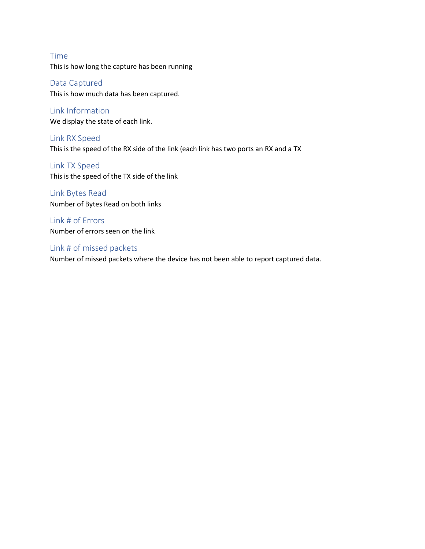Time This is how long the capture has been running

Data Captured This is how much data has been captured.

Link Information We display the state of each link.

Link RX Speed This is the speed of the RX side of the link (each link has two ports an RX and a TX

Link TX Speed This is the speed of the TX side of the link

Link Bytes Read Number of Bytes Read on both links

Link # of Errors Number of errors seen on the link

Link # of missed packets

Number of missed packets where the device has not been able to report captured data.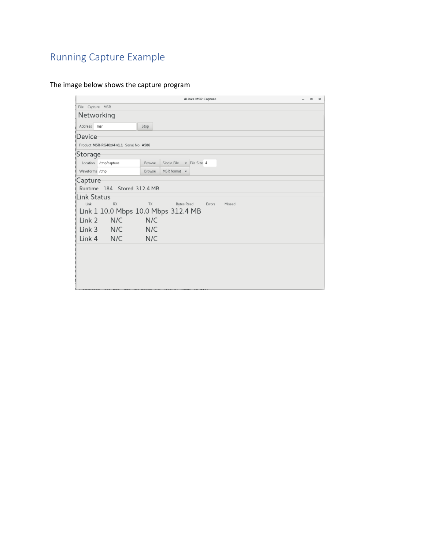# Running Capture Example

The image below shows the capture program

|                                |                                                                          |               | 4Links MSR Capture                               |                  |  | $\Box$ | × |
|--------------------------------|--------------------------------------------------------------------------|---------------|--------------------------------------------------|------------------|--|--------|---|
| File Capture MSR               |                                                                          |               |                                                  |                  |  |        |   |
| Networking                     |                                                                          |               |                                                  |                  |  |        |   |
| Address msr                    |                                                                          | Stop          |                                                  |                  |  |        |   |
| Device                         |                                                                          |               |                                                  |                  |  |        |   |
|                                | Product MSR-RG40x/4 v1.1 Serial No A586                                  |               |                                                  |                  |  |        |   |
| Storage                        |                                                                          |               |                                                  |                  |  |        |   |
|                                | Location /tmp/capture                                                    | Browse        | Single File<br>$\blacktriangleright$ File Size 4 |                  |  |        |   |
| Waveforms /tmp                 |                                                                          | <b>Browse</b> | MSR format $\bullet$                             |                  |  |        |   |
| Capture<br>Link Status<br>Link | Runtime 184 Stored 312.4 MB<br>RX<br>Link 1 10.0 Mbps 10.0 Mbps 312.4 MB | <b>TX</b>     | Bytes Read                                       | Errors<br>Missed |  |        |   |
| Link 2                         | N/C N/C                                                                  |               |                                                  |                  |  |        |   |
|                                | Link 3 N/C                                                               | N/C           |                                                  |                  |  |        |   |
|                                | $Link 4$ N/C                                                             | N/C           |                                                  |                  |  |        |   |
|                                |                                                                          |               |                                                  |                  |  |        |   |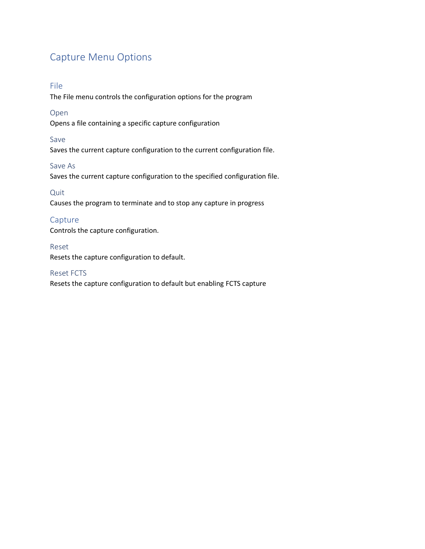# Capture Menu Options

### File

The File menu controls the configuration options for the program

#### Open

Opens a file containing a specific capture configuration

#### Save

Saves the current capture configuration to the current configuration file.

#### Save As

Saves the current capture configuration to the specified configuration file.

#### Quit

Causes the program to terminate and to stop any capture in progress

## Capture

Controls the capture configuration.

#### Reset

Resets the capture configuration to default.

#### Reset FCTS

Resets the capture configuration to default but enabling FCTS capture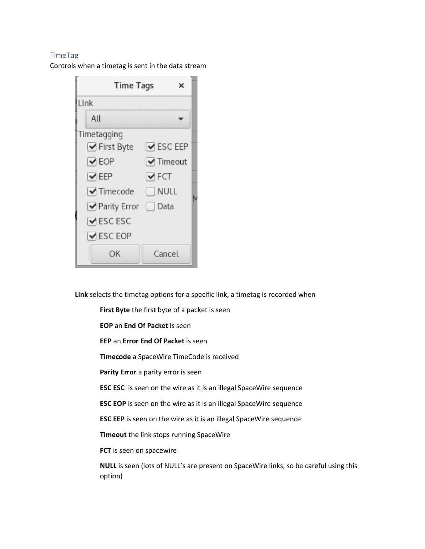#### TimeTag

Controls when a timetag is sent in the data stream

| <b>Time Tags</b><br>×          |                               |  |
|--------------------------------|-------------------------------|--|
| Llnk                           |                               |  |
| All                            |                               |  |
| Timetagging                    |                               |  |
| √ First Byte                   | $\blacktriangleright$ ESC EEP |  |
| $\vee$ EOP                     | $\blacktriangleright$ Timeout |  |
| $\blacktriangleright$ EEP      | $\blacktriangleright$ FCT     |  |
| $\blacktriangleright$ Timecode | $\Box$ NULL                   |  |
| └ Parity Error                 | Data                          |  |
| $\blacktriangleright$ ESC ESC  |                               |  |
| $\blacktriangleright$ ESC EOP  |                               |  |
| ΟK                             | Cancel                        |  |

**Link** selects the timetag options for a specific link, a timetag is recorded when

**First Byte** the first byte of a packet is seen

**EOP** an **End Of Packet** is seen

**EEP** an **Error End Of Packet** is seen

**Timecode** a SpaceWire TimeCode is received

**Parity Error** a parity error is seen

**ESC ESC** is seen on the wire as it is an illegal SpaceWire sequence

**ESC EOP** is seen on the wire as it is an illegal SpaceWire sequence

**ESC EEP** is seen on the wire as it is an illegal SpaceWire sequence

**Timeout** the link stops running SpaceWire

**FCT** is seen on spacewire

**NULL** is seen (lots of NULL's are present on SpaceWire links, so be careful using this option)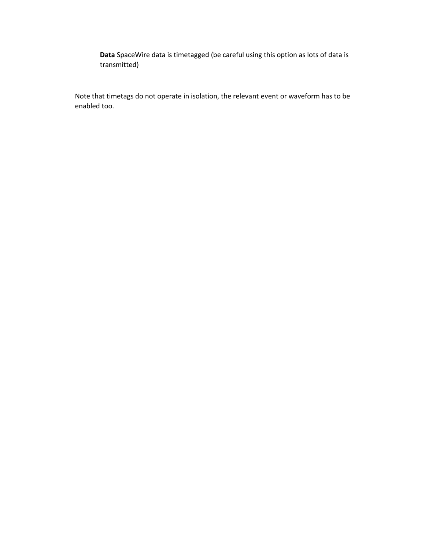**Data** SpaceWire data is timetagged (be careful using this option as lots of data is transmitted)

Note that timetags do not operate in isolation, the relevant event or waveform has to be enabled too.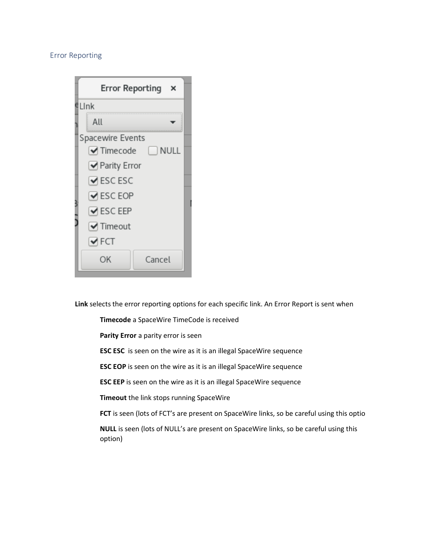#### Error Reporting

| Error Reporting<br>×                        |  |  |  |  |  |
|---------------------------------------------|--|--|--|--|--|
| ∉LInk                                       |  |  |  |  |  |
| All                                         |  |  |  |  |  |
| Spacewire Events                            |  |  |  |  |  |
| $\blacktriangleright$ Timecode<br>NULL NULL |  |  |  |  |  |
| └ Parity Error                              |  |  |  |  |  |
| $\blacktriangleright$ ESC ESC               |  |  |  |  |  |
| $\blacktriangleright$ ESC EOP               |  |  |  |  |  |
| $\vee$ ESC EEP                              |  |  |  |  |  |
| $\blacktriangleright$ Timeout               |  |  |  |  |  |
| $\blacktriangleright$ FCT                   |  |  |  |  |  |
| Cancel<br>ОK                                |  |  |  |  |  |

**Link** selects the error reporting options for each specific link. An Error Report is sent when

**Timecode** a SpaceWire TimeCode is received

**Parity Error** a parity error is seen

**ESC ESC** is seen on the wire as it is an illegal SpaceWire sequence

**ESC EOP** is seen on the wire as it is an illegal SpaceWire sequence

**ESC EEP** is seen on the wire as it is an illegal SpaceWire sequence

**Timeout** the link stops running SpaceWire

**FCT** is seen (lots of FCT's are present on SpaceWire links, so be careful using this optio

**NULL** is seen (lots of NULL's are present on SpaceWire links, so be careful using this option)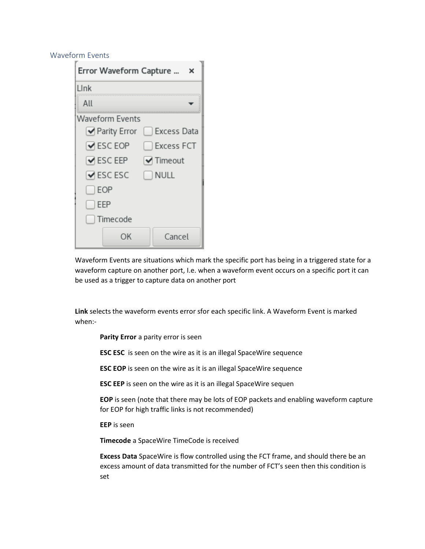#### Waveform Events

| Error Waveform Capture<br>×   |                            |  |  |  |  |
|-------------------------------|----------------------------|--|--|--|--|
| Link                          |                            |  |  |  |  |
| All                           |                            |  |  |  |  |
| Waveform Events               |                            |  |  |  |  |
|                               | Parity Error   Excess Data |  |  |  |  |
| $\blacktriangleright$ ESC EOP | Excess FCT                 |  |  |  |  |
| $\blacktriangleright$ ESC EEP | $\forall$ Timeout          |  |  |  |  |
| $\vee$ ESC ESC                | $\Box$ NULL                |  |  |  |  |
| $\Box$ EOP                    |                            |  |  |  |  |
| $\Box$ EEP                    |                            |  |  |  |  |
| [ ] Timecode                  |                            |  |  |  |  |
| ОK                            | Cancel                     |  |  |  |  |

Waveform Events are situations which mark the specific port has being in a triggered state for a waveform capture on another port, I.e. when a waveform event occurs on a specific port it can be used as a trigger to capture data on another port

**Link** selects the waveform events error sfor each specific link. A Waveform Event is marked when:-

**Parity Error** a parity error is seen

**ESC ESC** is seen on the wire as it is an illegal SpaceWire sequence

**ESC EOP** is seen on the wire as it is an illegal SpaceWire sequence

**ESC EEP** is seen on the wire as it is an illegal SpaceWire sequen

**EOP** is seen (note that there may be lots of EOP packets and enabling waveform capture for EOP for high traffic links is not recommended)

**EEP** is seen

**Timecode** a SpaceWire TimeCode is received

**Excess Data** SpaceWire is flow controlled using the FCT frame, and should there be an excess amount of data transmitted for the number of FCT's seen then this condition is set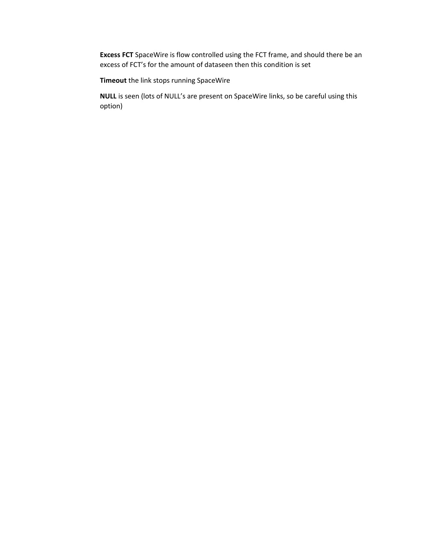**Excess FCT** SpaceWire is flow controlled using the FCT frame, and should there be an excess of FCT's for the amount of dataseen then this condition is set

**Timeout** the link stops running SpaceWire

**NULL** is seen (lots of NULL's are present on SpaceWire links, so be careful using this option)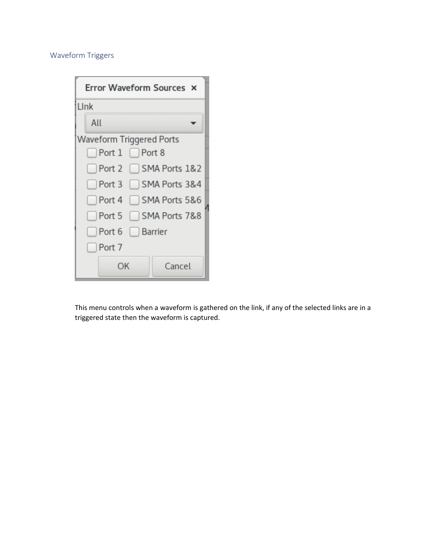## Waveform Triggers

| Error Waveform Sources X           |        |  |
|------------------------------------|--------|--|
| Link                               |        |  |
| All                                |        |  |
| Waveform Triggered Ports           |        |  |
| $\Box$ Port $1 \Box$ Port 8        |        |  |
| Port 2 SMA Ports 1&2               |        |  |
| Port 3 SMA Ports 3&4               |        |  |
| $\Box$ Port 4 $\Box$ SMA Ports 5&6 |        |  |
| Port 5 SMA Ports 7&8               |        |  |
| Port 6 Barrier                     |        |  |
| $\Box$ Port 7                      |        |  |
| ΟK                                 | Cancel |  |

This menu controls when a waveform is gathered on the link, if any of the selected links are in a triggered state then the waveform is captured.